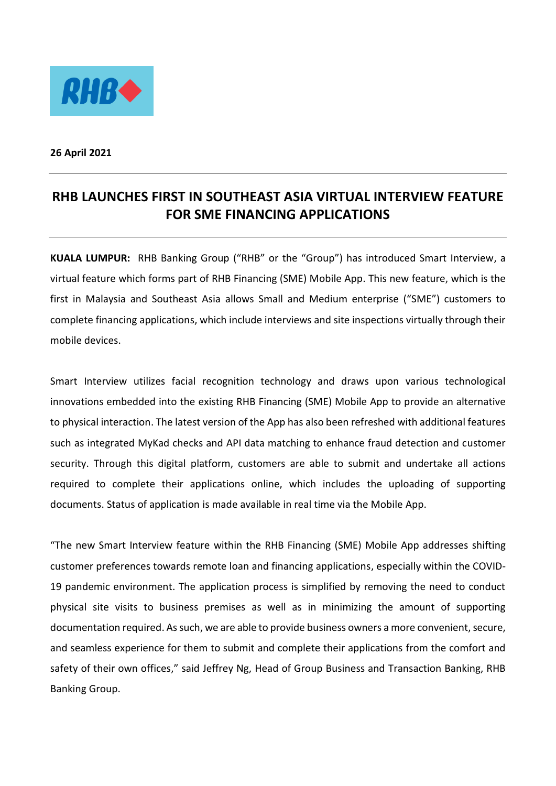

**26 April 2021**

## **RHB LAUNCHES FIRST IN SOUTHEAST ASIA VIRTUAL INTERVIEW FEATURE FOR SME FINANCING APPLICATIONS**

**KUALA LUMPUR:** RHB Banking Group ("RHB" or the "Group") has introduced Smart Interview, a virtual feature which forms part of RHB Financing (SME) Mobile App. This new feature, which is the first in Malaysia and Southeast Asia allows Small and Medium enterprise ("SME") customers to complete financing applications, which include interviews and site inspections virtually through their mobile devices.

Smart Interview utilizes facial recognition technology and draws upon various technological innovations embedded into the existing RHB Financing (SME) Mobile App to provide an alternative to physical interaction. The latest version of the App has also been refreshed with additional features such as integrated MyKad checks and API data matching to enhance fraud detection and customer security. Through this digital platform, customers are able to submit and undertake all actions required to complete their applications online, which includes the uploading of supporting documents. Status of application is made available in real time via the Mobile App.

"The new Smart Interview feature within the RHB Financing (SME) Mobile App addresses shifting customer preferences towards remote loan and financing applications, especially within the COVID-19 pandemic environment. The application process is simplified by removing the need to conduct physical site visits to business premises as well as in minimizing the amount of supporting documentation required. As such, we are able to provide business owners a more convenient, secure, and seamless experience for them to submit and complete their applications from the comfort and safety of their own offices," said Jeffrey Ng, Head of Group Business and Transaction Banking, RHB Banking Group.